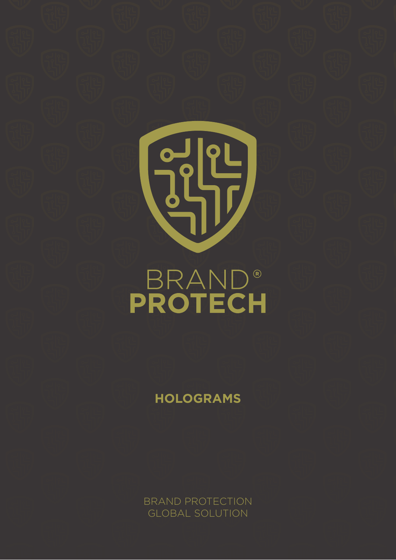# $\begin{pmatrix} 0 & 0 \\ 0 & 1 \end{pmatrix}$ **BRAND®**<br>PROTECH

**HOLOGRAMS**

BRAND PROTECTION GLOBAL SOLUTION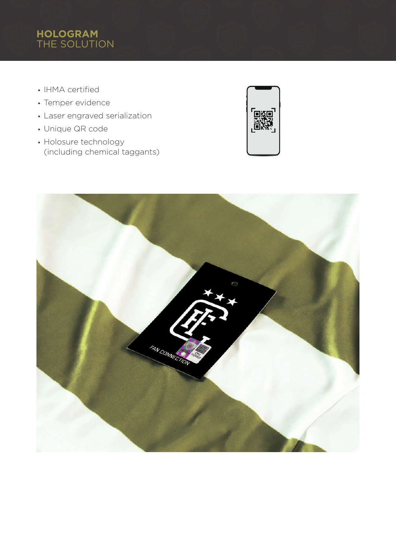# **HOLOGRAM** THE SOLUTION

- IHMA certified
- Temper evidence
- Laser engraved serialization
- Unique QR code
- Holosure technology (including chemical taggants)



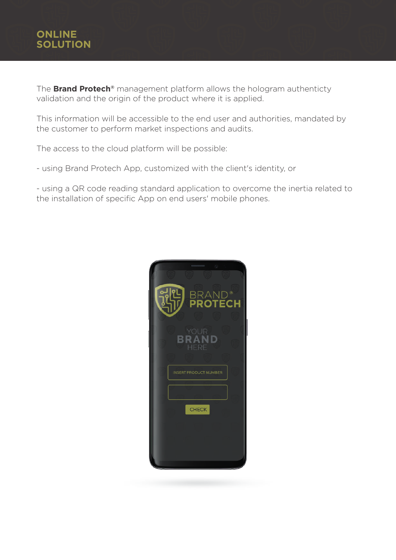# **ONLINE SOLUTION**

The **Brand Protech®** management platform allows the hologram authenticty validation and the origin of the product where it is applied.

This information will be accessible to the end user and authorities, mandated by the customer to perform market inspections and audits.

The access to the cloud platform will be possible:

- using Brand Protech App, customized with the client's identity, or

- using a QR code reading standard application to overcome the inertia related to the installation of specific App on end users' mobile phones.

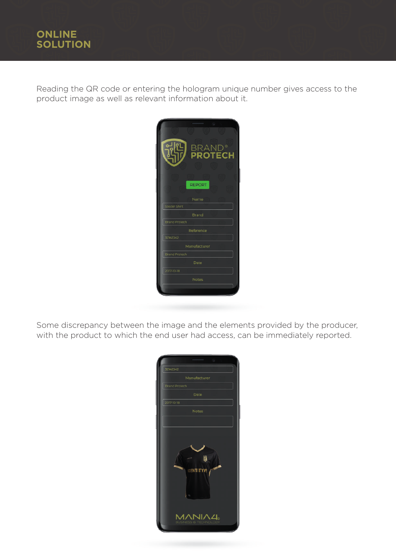Reading the QR code or entering the hologram unique number gives access to the product image as well as relevant information about it.



Some discrepancy between the image and the elements provided by the producer, with the product to which the end user had access, can be immediately reported.

| $\epsilon$<br>32142342<br>Manufacturer<br><b>Brand Protech</b><br>Date |
|------------------------------------------------------------------------|
| 2017-10-18                                                             |
| <b>Notes</b>                                                           |
|                                                                        |
|                                                                        |
| ü<br><b>IDENTITYFE</b>                                                 |
| IA4。<br>ΛN                                                             |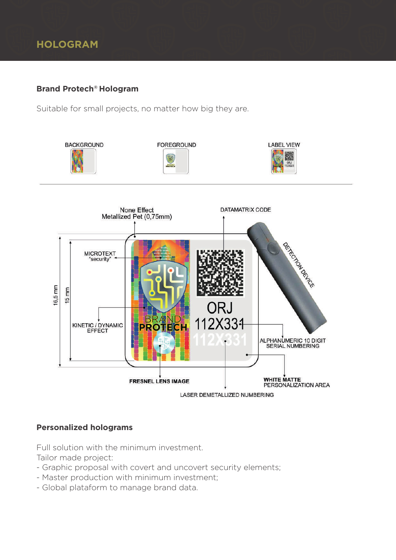### **Brand Protech® Hologram**

Suitable for small projects, no matter how big they are.



### **Personalized holograms**

Full solution with the minimum investment.

Tailor made project:

- Graphic proposal with covert and uncovert security elements;
- Master production with minimum investment;
- Global plataform to manage brand data.